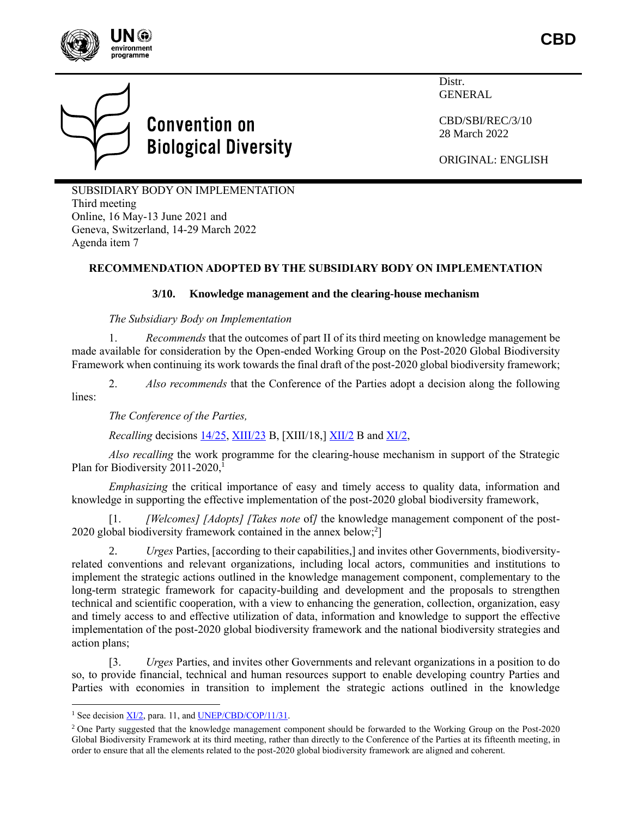



# **Convention on Biological Diversity**

Distr. GENERAL

CBD/SBI/REC/3/10 28 March 2022

ORIGINAL: ENGLISH

SUBSIDIARY BODY ON IMPLEMENTATION Third meeting Online, 16 May-13 June 2021 and Geneva, Switzerland, 14-29 March 2022 Agenda item 7

## **RECOMMENDATION ADOPTED BY THE SUBSIDIARY BODY ON IMPLEMENTATION**

#### **3/10. Knowledge management and the clearing-house mechanism**

#### *The Subsidiary Body on Implementation*

1. *Recommends* that the outcomes of part II of its third meeting on knowledge management be made available for consideration by the Open-ended Working Group on the Post-2020 Global Biodiversity Framework when continuing its work towards the final draft of the post-2020 global biodiversity framework;

2. *Also recommends* that the Conference of the Parties adopt a decision along the following lines:

*The Conference of the Parties,*

<span id="page-0-0"></span>*Recalling* decisions [14/25,](https://www.cbd.int/doc/decisions/cop-14/cop-14-dec-25-en.pdf) [XIII/23](https://www.cbd.int/doc/decisions/cop-13/cop-13-dec-23-en.pdf) B, [XIII/18,] [XII/2](https://www.cbd.int/doc/decisions/cop-12/cop-12-dec-02-en.pdf) B and [XI/2,](https://www.cbd.int/doc/decisions/cop-11/cop-11-dec-02-en.pdf)

*Also recalling* the work programme for the clearing-house mechanism in support of the Strategic Plan for Biodiversity 2011-2020,<sup>1</sup>

*Emphasizing* the critical importance of easy and timely access to quality data, information and knowledge in supporting the effective implementation of the post-2020 global biodiversity framework,

[1. *[Welcomes] [Adopts] [Takes note* of*]* the knowledge management component of the post-2020 global biodiversity framework contained in the annex below;<sup>2</sup>]

2. *Urges* Parties, [according to their capabilities,] and invites other Governments, biodiversityrelated conventions and relevant organizations, including local actors, communities and institutions to implement the strategic actions outlined in the knowledge management component, complementary to the long-term strategic framework for capacity-building and development and the proposals to strengthen technical and scientific cooperation, with a view to enhancing the generation, collection, organization, easy and timely access to and effective utilization of data, information and knowledge to support the effective implementation of the post-2020 global biodiversity framework and the national biodiversity strategies and action plans;

[3. *Urges* Parties, and invites other Governments and relevant organizations in a position to do so, to provide financial, technical and human resources support to enable developing country Parties and Parties with economies in transition to implement the strategic actions outlined in the knowledge

<sup>&</sup>lt;sup>1</sup> See decision <u>XI/2</u>, para. 11, and **UNEP/CBD/COP/11/31**.

<sup>&</sup>lt;sup>2</sup> One Party suggested that the knowledge management component should be forwarded to the Working Group on the Post-2020 Global Biodiversity Framework at its third meeting, rather than directly to the Conference of the Parties at its fifteenth meeting, in order to ensure that all the elements related to the post-2020 global biodiversity framework are aligned and coherent.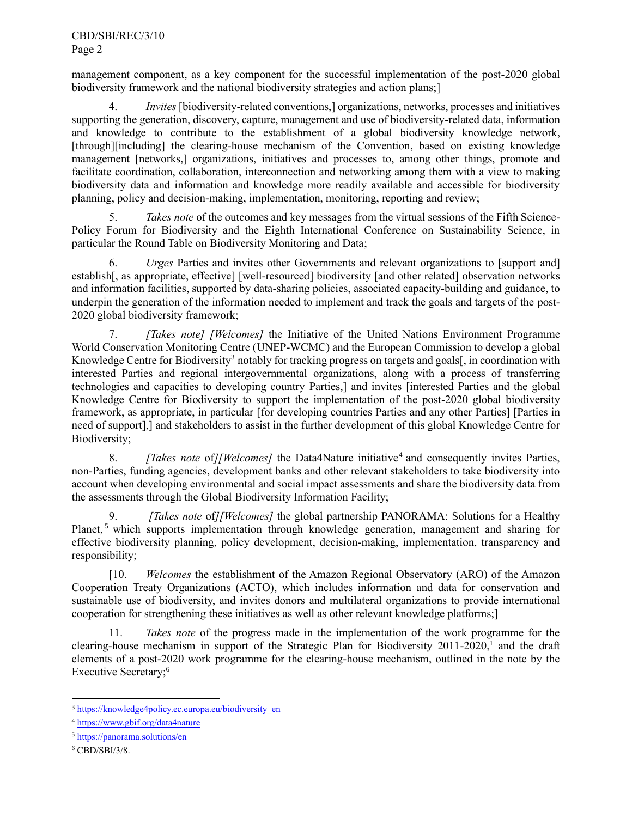management component, as a key component for the successful implementation of the post-2020 global biodiversity framework and the national biodiversity strategies and action plans;]

4. *Invites* [biodiversity-related conventions,] organizations, networks, processes and initiatives supporting the generation, discovery, capture, management and use of biodiversity-related data, information and knowledge to contribute to the establishment of a global biodiversity knowledge network, [through][including] the clearing-house mechanism of the Convention, based on existing knowledge management [networks,] organizations, initiatives and processes to, among other things, promote and facilitate coordination, collaboration, interconnection and networking among them with a view to making biodiversity data and information and knowledge more readily available and accessible for biodiversity planning, policy and decision-making, implementation, monitoring, reporting and review;

5. *Takes note* of the outcomes and key messages from the virtual sessions of the Fifth Science-Policy Forum for Biodiversity and the Eighth International Conference on Sustainability Science, in particular the Round Table on Biodiversity Monitoring and Data;

6. *Urges* Parties and invites other Governments and relevant organizations to [support and] establish[, as appropriate, effective] [well-resourced] biodiversity [and other related] observation networks and information facilities, supported by data-sharing policies, associated capacity-building and guidance, to underpin the generation of the information needed to implement and track the goals and targets of the post-2020 global biodiversity framework;

7. *[Takes note] [Welcomes]* the Initiative of the United Nations Environment Programme World Conservation Monitoring Centre (UNEP-WCMC) and the European Commission to develop a global Knowledge Centre for Biodiversity<sup>3</sup> notably for tracking progress on targets and goals[, in coordination with interested Parties and regional intergovernmental organizations, along with a process of transferring technologies and capacities to developing country Parties,] and invites [interested Parties and the global Knowledge Centre for Biodiversity to support the implementation of the post-2020 global biodiversity framework, as appropriate, in particular [for developing countries Parties and any other Parties] [Parties in need of support],] and stakeholders to assist in the further development of this global Knowledge Centre for Biodiversity;

8. *[Takes note of][Welcomes]* the Data4Nature initiative<sup>4</sup> and consequently invites Parties, non-Parties, funding agencies, development banks and other relevant stakeholders to take biodiversity into account when developing environmental and social impact assessments and share the biodiversity data from the assessments through the Global Biodiversity Information Facility;

9. *[Takes note* of*][Welcomes]* the global partnership PANORAMA: Solutions for a Healthy Planet,<sup>5</sup> which supports implementation through knowledge generation, management and sharing for effective biodiversity planning, policy development, decision-making, implementation, transparency and responsibility;

[10. *Welcomes* the establishment of the Amazon Regional Observatory (ARO) of the Amazon Cooperation Treaty Organizations (ACTO), which includes information and data for conservation and sustainable use of biodiversity, and invites donors and multilateral organizations to provide international cooperation for strengthening these initiatives as well as other relevant knowledge platforms;]

11. *Takes note* of the progress made in the implementation of the work programme for the clearing-house mechanism in support of the Strategic Plan for Biodiversity 2011-2020[,](#page-0-0) 1 and the draft elements of a post-2020 work programme for the clearing-house mechanism, outlined in the note by the Executive Secretary;<sup>6</sup>

<sup>&</sup>lt;sup>3</sup> [https://knowledge4policy.ec.europa.eu/biodiversity\\_en](https://knowledge4policy.ec.europa.eu/biodiversity_en)

<sup>4</sup> <https://www.gbif.org/data4nature>

<sup>5</sup> <https://panorama.solutions/en>

<sup>6</sup> CBD/SBI/3/8.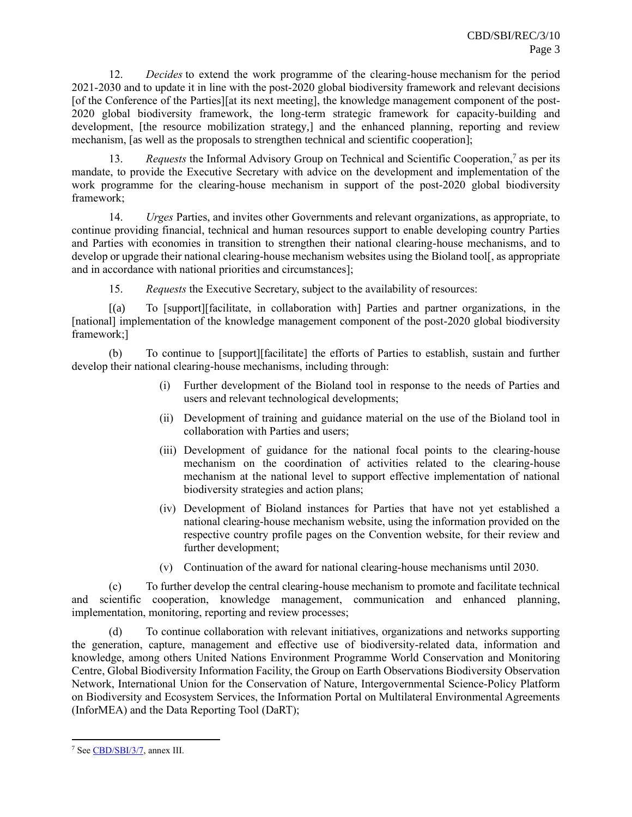12. *Decides* to extend the work programme of the clearing-house mechanism for the period 2021-2030 and to update it in line with the post-2020 global biodiversity framework and relevant decisions [of the Conference of the Parties][at its next meeting], the knowledge management component of the post-2020 global biodiversity framework, the long-term strategic framework for capacity-building and development, [the resource mobilization strategy,] and the enhanced planning, reporting and review mechanism, [as well as the proposals to strengthen technical and scientific cooperation];

13. Requests the Informal Advisory Group on Technical and Scientific Cooperation,<sup>7</sup> as per its mandate, to provide the Executive Secretary with advice on the development and implementation of the work programme for the clearing-house mechanism in support of the post-2020 global biodiversity framework;

14. *Urges* Parties, and invites other Governments and relevant organizations, as appropriate, to continue providing financial, technical and human resources support to enable developing country Parties and Parties with economies in transition to strengthen their national clearing-house mechanisms, and to develop or upgrade their national clearing-house mechanism websites using the Bioland tool. as appropriate and in accordance with national priorities and circumstances];

15. *Requests* the Executive Secretary, subject to the availability of resources:

[(a) To [support][facilitate, in collaboration with] Parties and partner organizations, in the [national] implementation of the knowledge management component of the post-2020 global biodiversity framework;]

(b) To continue to [support][facilitate] the efforts of Parties to establish, sustain and further develop their national clearing-house mechanisms, including through:

- (i) Further development of the Bioland tool in response to the needs of Parties and users and relevant technological developments;
- (ii) Development of training and guidance material on the use of the Bioland tool in collaboration with Parties and users;
- (iii) Development of guidance for the national focal points to the clearing-house mechanism on the coordination of activities related to the clearing-house mechanism at the national level to support effective implementation of national biodiversity strategies and action plans;
- (iv) Development of Bioland instances for Parties that have not yet established a national clearing-house mechanism website, using the information provided on the respective country profile pages on the Convention website, for their review and further development;
- (v) Continuation of the award for national clearing-house mechanisms until 2030.

(c) To further develop the central clearing-house mechanism to promote and facilitate technical and scientific cooperation, knowledge management, communication and enhanced planning, implementation, monitoring, reporting and review processes;

(d) To continue collaboration with relevant initiatives, organizations and networks supporting the generation, capture, management and effective use of biodiversity-related data, information and knowledge, among others United Nations Environment Programme World Conservation and Monitoring Centre, Global Biodiversity Information Facility, the Group on Earth Observations Biodiversity Observation Network, International Union for the Conservation of Nature, Intergovernmental Science-Policy Platform on Biodiversity and Ecosystem Services, the Information Portal on Multilateral Environmental Agreements (InforMEA) and the Data Reporting Tool (DaRT);

<sup>7</sup> See [CBD/SBI/3/7,](https://www.cbd.int/doc/c/e798/4a32/5521e93c4e04a2f720acc08a/sbi-03-07-en.pdf) annex III.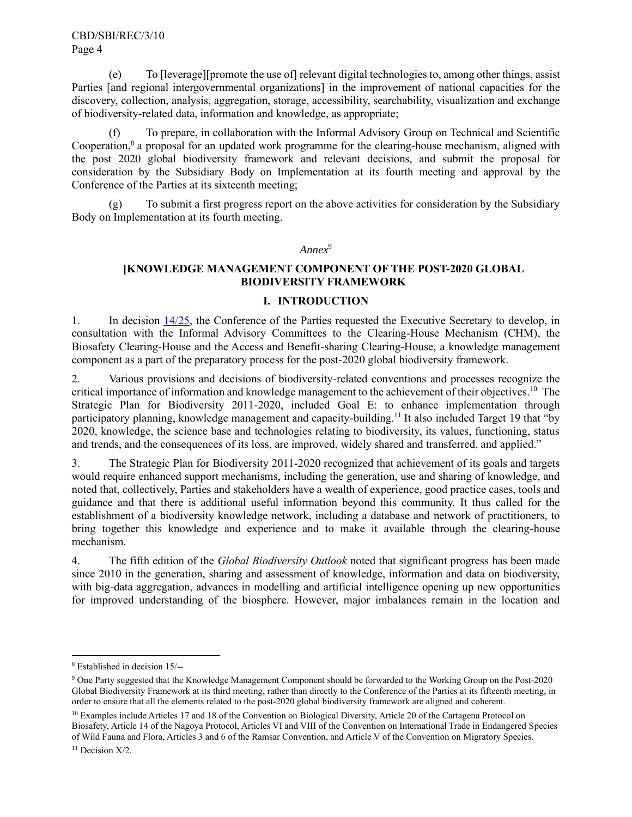(e) To [leverage][promote the use of] relevant digital technologies to, among other things, assist Parties [and regional intergovernmental organizations] in the improvement of national capacities for the discovery, collection, analysis, aggregation, storage, accessibility, searchability, visualization and exchange of biodiversity-related data, information and knowledge, as appropriate;

(f) To prepare, in collaboration with the Informal Advisory Group on Technical and Scientific Cooperation,<sup>8</sup> a proposal for an updated work programme for the clearing-house mechanism, aligned with the post 2020 global biodiversity framework and relevant decisions, and submit the proposal for consideration by the Subsidiary Body on Implementation at its fourth meeting and approval by the Conference of the Parties at its sixteenth meeting;

(g) To submit a first progress report on the above activities for consideration by the Subsidiary Body on Implementation at its fourth meeting.

*Annex*<sup>9</sup>

## **[KNOWLEDGE MANAGEMENT COMPONENT OF THE POST-2020 GLOBAL BIODIVERSITY FRAMEWORK**

#### **I. INTRODUCTION**

1. In decision [14/25,](https://www.cbd.int/doc/decisions/cop-14/cop-14-dec-25-en.pdf) the Conference of the Parties requested the Executive Secretary to develop, in consultation with the Informal Advisory Committees to the Clearing-House Mechanism (CHM), the Biosafety Clearing-House and the Access and Benefit-sharing Clearing-House, a knowledge management component as a part of the preparatory process for the post-2020 global biodiversity framework.

2. Various provisions and decisions of biodiversity-related conventions and processes recognize the critical importance of information and knowledge management to the achievement of their objectives.<sup>10</sup> The Strategic Plan for Biodiversity 2011-2020, included Goal E: to enhance implementation through participatory planning, knowledge management and capacity-building.<sup>11</sup> It also included Target 19 that "by 2020, knowledge, the science base and technologies relating to biodiversity, its values, functioning, status and trends, and the consequences of its loss, are improved, widely shared and transferred, and applied."

3. The Strategic Plan for Biodiversity 2011-2020 recognized that achievement of its goals and targets would require enhanced support mechanisms, including the generation, use and sharing of knowledge, and noted that, collectively, Parties and stakeholders have a wealth of experience, good practice cases, tools and guidance and that there is additional useful information beyond this community. It thus called for the establishment of a biodiversity knowledge network, including a database and network of practitioners, to bring together this knowledge and experience and to make it available through the clearing-house mechanism.

4. The fifth edition of the *Global Biodiversity Outlook* noted that significant progress has been made since 2010 in the generation, sharing and assessment of knowledge, information and data on biodiversity, with big-data aggregation, advances in modelling and artificial intelligence opening up new opportunities for improved understanding of the biosphere. However, major imbalances remain in the location and

<sup>8</sup> Established in decision 15/--

<sup>&</sup>lt;sup>9</sup> One Party suggested that the Knowledge Management Component should be forwarded to the Working Group on the Post-2020 Global Biodiversity Framework at its third meeting, rather than directly to the Conference of the Parties at its fifteenth meeting, in order to ensure that all the elements related to the post-2020 global biodiversity framework are aligned and coherent.

<sup>&</sup>lt;sup>10</sup> Examples include Articles 17 and 18 of the Convention on Biological Diversity, Article 20 of the Cartagena Protocol on Biosafety, Article 14 of the Nagoya Protocol, Articles VI and VIII of the Convention on International Trade in Endangered Species of Wild Fauna and Flora, Articles 3 and 6 of the Ramsar Convention, and Article V of the Convention on Migratory Species.

<sup>&</sup>lt;sup>11</sup> Decision X/2.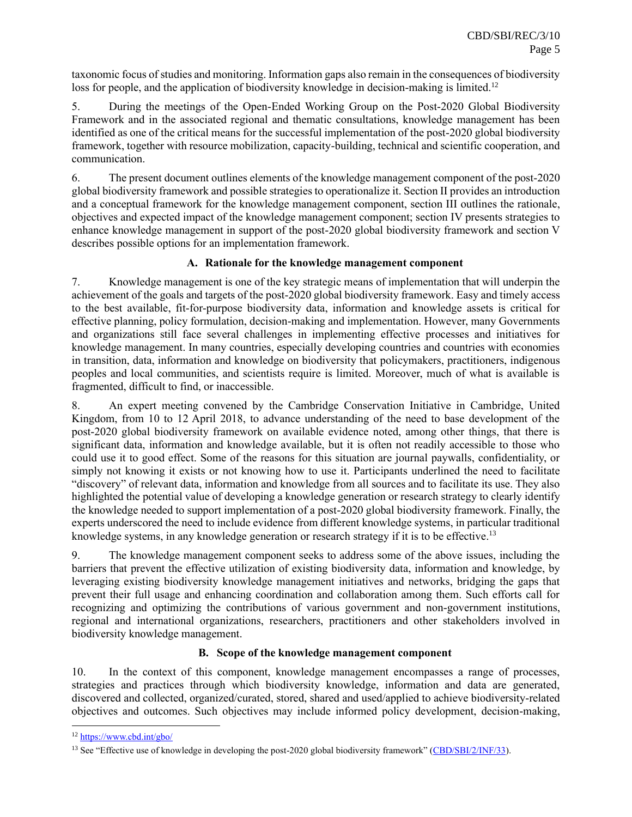taxonomic focus of studies and monitoring. Information gaps also remain in the consequences of biodiversity loss for people, and the application of biodiversity knowledge in decision-making is limited.<sup>12</sup>

5. During the meetings of the Open-Ended Working Group on the Post-2020 Global Biodiversity Framework and in the associated regional and thematic consultations, knowledge management has been identified as one of the critical means for the successful implementation of the post-2020 global biodiversity framework, together with resource mobilization, capacity-building, technical and scientific cooperation, and communication.

6. The present document outlines elements of the knowledge management component of the post-2020 global biodiversity framework and possible strategies to operationalize it. Section II provides an introduction and a conceptual framework for the knowledge management component, section III outlines the rationale, objectives and expected impact of the knowledge management component; section IV presents strategies to enhance knowledge management in support of the post-2020 global biodiversity framework and section V describes possible options for an implementation framework.

#### **A. Rationale for the knowledge management component**

7. Knowledge management is one of the key strategic means of implementation that will underpin the achievement of the goals and targets of the post-2020 global biodiversity framework. Easy and timely access to the best available, fit-for-purpose biodiversity data, information and knowledge assets is critical for effective planning, policy formulation, decision-making and implementation. However, many Governments and organizations still face several challenges in implementing effective processes and initiatives for knowledge management. In many countries, especially developing countries and countries with economies in transition, data, information and knowledge on biodiversity that policymakers, practitioners, indigenous peoples and local communities, and scientists require is limited. Moreover, much of what is available is fragmented, difficult to find, or inaccessible.

8. An expert meeting convened by the Cambridge Conservation Initiative in Cambridge, United Kingdom, from 10 to 12 April 2018, to advance understanding of the need to base development of the post-2020 global biodiversity framework on available evidence noted, among other things, that there is significant data, information and knowledge available, but it is often not readily accessible to those who could use it to good effect. Some of the reasons for this situation are journal paywalls, confidentiality, or simply not knowing it exists or not knowing how to use it. Participants underlined the need to facilitate "discovery" of relevant data, information and knowledge from all sources and to facilitate its use. They also highlighted the potential value of developing a knowledge generation or research strategy to clearly identify the knowledge needed to support implementation of a post-2020 global biodiversity framework. Finally, the experts underscored the need to include evidence from different knowledge systems, in particular traditional knowledge systems, in any knowledge generation or research strategy if it is to be effective.<sup>13</sup>

9. The knowledge management component seeks to address some of the above issues, including the barriers that prevent the effective utilization of existing biodiversity data, information and knowledge, by leveraging existing biodiversity knowledge management initiatives and networks, bridging the gaps that prevent their full usage and enhancing coordination and collaboration among them. Such efforts call for recognizing and optimizing the contributions of various government and non-government institutions, regional and international organizations, researchers, practitioners and other stakeholders involved in biodiversity knowledge management.

#### **B. Scope of the knowledge management component**

10. In the context of this component, knowledge management encompasses a range of processes, strategies and practices through which biodiversity knowledge, information and data are generated, discovered and collected, organized/curated, stored, shared and used/applied to achieve biodiversity-related objectives and outcomes. Such objectives may include informed policy development, decision-making,

<sup>12</sup> <https://www.cbd.int/gbo/>

<sup>&</sup>lt;sup>13</sup> See "Effective use of knowledge in developing the post-2020 global biodiversity framework" [\(CBD/SBI/2/INF/33\)](https://www.cbd.int/doc/c/5ec1/d94f/60fb5937bc06b92013ec09dd/sbi-02-inf-33-en.pdf).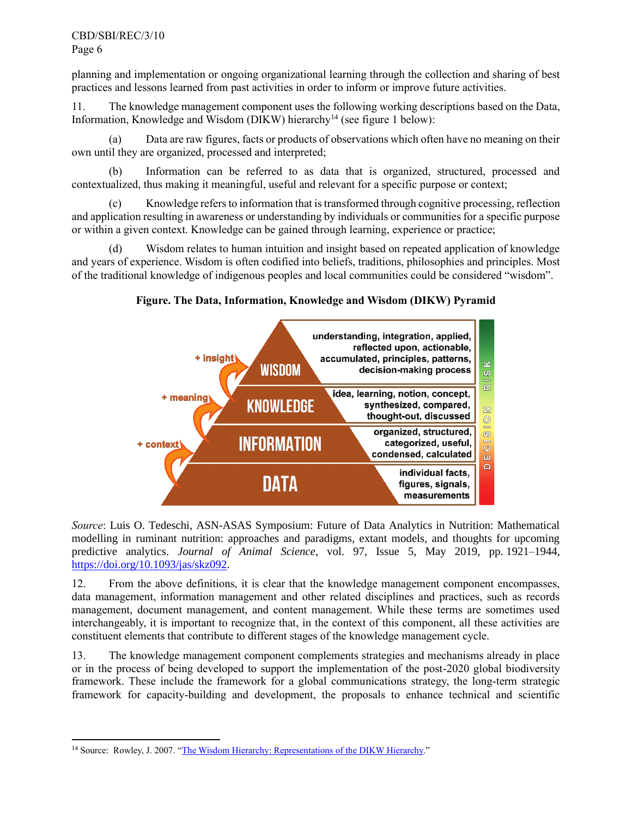planning and implementation or ongoing organizational learning through the collection and sharing of best practices and lessons learned from past activities in order to inform or improve future activities.

11. The knowledge management component uses the following working descriptions based on the Data, Information, Knowledge and Wisdom (DIKW) hierarchy<sup>14</sup> (see figure 1 below):

(a) Data are raw figures, facts or products of observations which often have no meaning on their own until they are organized, processed and interpreted;

(b) Information can be referred to as data that is organized, structured, processed and contextualized, thus making it meaningful, useful and relevant for a specific purpose or context;

(c) Knowledge refers to information that is transformed through cognitive processing, reflection and application resulting in awareness or understanding by individuals or communities for a specific purpose or within a given context. Knowledge can be gained through learning, experience or practice;

(d) Wisdom relates to human intuition and insight based on repeated application of knowledge and years of experience. Wisdom is often codified into beliefs, traditions, philosophies and principles. Most of the traditional knowledge of indigenous peoples and local communities could be considered "wisdom".

#### **Figure. The Data, Information, Knowledge and Wisdom (DIKW) Pyramid**



*Source*: Luis O. Tedeschi, ASN-ASAS Symposium: Future of Data Analytics in Nutrition: Mathematical modelling in ruminant nutrition: approaches and paradigms, extant models, and thoughts for upcoming predictive analytics. *Journal of Animal Science*, vol. 97, Issue 5, May 2019, pp. 1921–1944, [https://doi.org/10.1093/jas/skz092.](https://doi.org/10.1093/jas/skz092)

12. From the above definitions, it is clear that the knowledge management component encompasses, data management, information management and other related disciplines and practices, such as records management, document management, and content management. While these terms are sometimes used interchangeably, it is important to recognize that, in the context of this component, all these activities are constituent elements that contribute to different stages of the knowledge management cycle.

13. The knowledge management component complements strategies and mechanisms already in place or in the process of being developed to support the implementation of the post-2020 global biodiversity framework. These include the framework for a global communications strategy, the long-term strategic framework for capacity-building and development, the proposals to enhance technical and scientific

<sup>&</sup>lt;sup>14</sup> Source: Rowley, J. 2007. ["The Wisdom Hierarchy: Representations of the DIKW Hierarchy.](http://www-public.imtbs-tsp.eu/~gibson/Teaching/Teaching-ReadingMaterial/Rowley06.pdf)"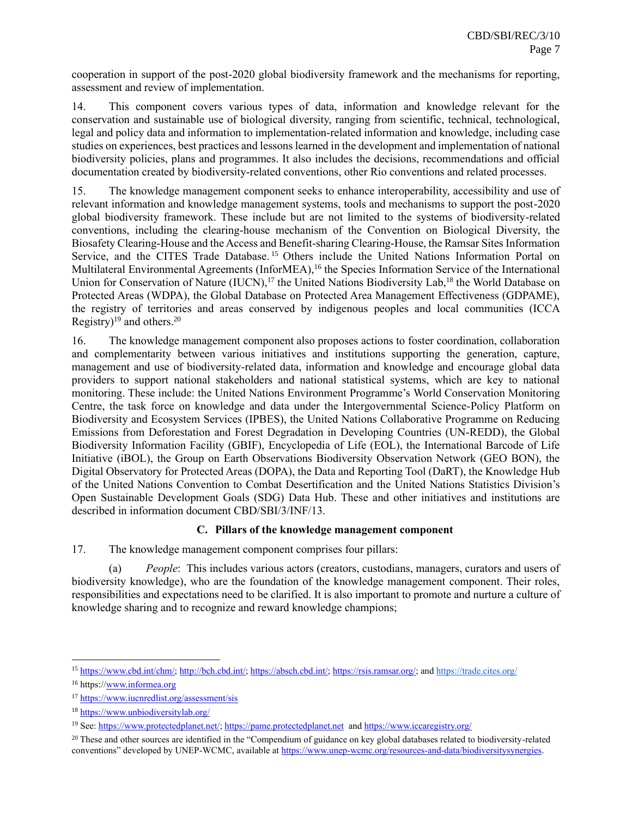cooperation in support of the post-2020 global biodiversity framework and the mechanisms for reporting, assessment and review of implementation.

14. This component covers various types of data, information and knowledge relevant for the conservation and sustainable use of biological diversity, ranging from scientific, technical, technological, legal and policy data and information to implementation-related information and knowledge, including case studies on experiences, best practices and lessons learned in the development and implementation of national biodiversity policies, plans and programmes. It also includes the decisions, recommendations and official documentation created by biodiversity-related conventions, other Rio conventions and related processes.

15. The knowledge management component seeks to enhance interoperability, accessibility and use of relevant information and knowledge management systems, tools and mechanisms to support the post-2020 global biodiversity framework. These include but are not limited to the systems of biodiversity-related conventions, including the clearing-house mechanism of the Convention on Biological Diversity, the Biosafety Clearing-House and the Access and Benefit-sharing Clearing-House, the Ramsar Sites Information Service, and the CITES Trade Database.<sup>15</sup> Others include the United Nations Information Portal on Multilateral Environmental Agreements (InforMEA),<sup>16</sup> the Species Information Service of the International Union for Conservation of Nature (IUCN),<sup>17</sup> the United Nations Biodiversity Lab,<sup>18</sup> the World Database on Protected Areas (WDPA), the Global Database on Protected Area Management Effectiveness (GDPAME), the registry of territories and areas conserved by indigenous peoples and local communities (ICCA Registry)<sup>19</sup> and others.<sup>20</sup>

16. The knowledge management component also proposes actions to foster coordination, collaboration and complementarity between various initiatives and institutions supporting the generation, capture, management and use of biodiversity-related data, information and knowledge and encourage global data providers to support national stakeholders and national statistical systems, which are key to national monitoring. These include: the United Nations Environment Programme's World Conservation Monitoring Centre, the task force on knowledge and data under the Intergovernmental Science-Policy Platform on Biodiversity and Ecosystem Services (IPBES), the United Nations Collaborative Programme on Reducing Emissions from Deforestation and Forest Degradation in Developing Countries (UN-REDD), the Global Biodiversity Information Facility (GBIF), Encyclopedia of Life (EOL), the International Barcode of Life Initiative (iBOL), the Group on Earth Observations Biodiversity Observation Network (GEO BON), the Digital Observatory for Protected Areas (DOPA), the Data and Reporting Tool (DaRT), the Knowledge Hub of the United Nations Convention to Combat Desertification and the United Nations Statistics Division's Open Sustainable Development Goals (SDG) Data Hub. These and other initiatives and institutions are described in information document CBD/SBI/3/INF/13.

#### **C. Pillars of the knowledge management component**

17. The knowledge management component comprises four pillars:

(a) *People*: This includes various actors (creators, custodians, managers, curators and users of biodiversity knowledge), who are the foundation of the knowledge management component. Their roles, responsibilities and expectations need to be clarified. It is also important to promote and nurture a culture of knowledge sharing and to recognize and reward knowledge champions;

<sup>15</sup> [https://www.cbd.int/chm/;](https://www.cbd.int/chm/) [http://bch.cbd.int/;](http://bch.cbd.int/) [https://absch.cbd.int/;](https://absch.cbd.int/) [https://rsis.ramsar.org/;](https://rsis.ramsar.org/) and https://trade.cites.org/

<sup>16</sup> https:[//www.informea.org](http://www.informea.org/)

<sup>17</sup> <https://www.iucnredlist.org/assessment/sis>

<sup>18</sup> <https://www.unbiodiversitylab.org/>

<sup>&</sup>lt;sup>19</sup> See[: https://www.protectedplanet.net/;](https://www.protectedplanet.net/) [https://pame.protectedplanet.net](https://pame.protectedplanet.net/) and<https://www.iccaregistry.org/>

 $20$  These and other sources are identified in the "Compendium of guidance on key global databases related to biodiversity-related conventions" developed by UNEP-WCMC, available a[t https://www.unep-wcmc.org/resources-and-data/biodiversitysynergies.](https://www.unep-wcmc.org/resources-and-data/biodiversitysynergies)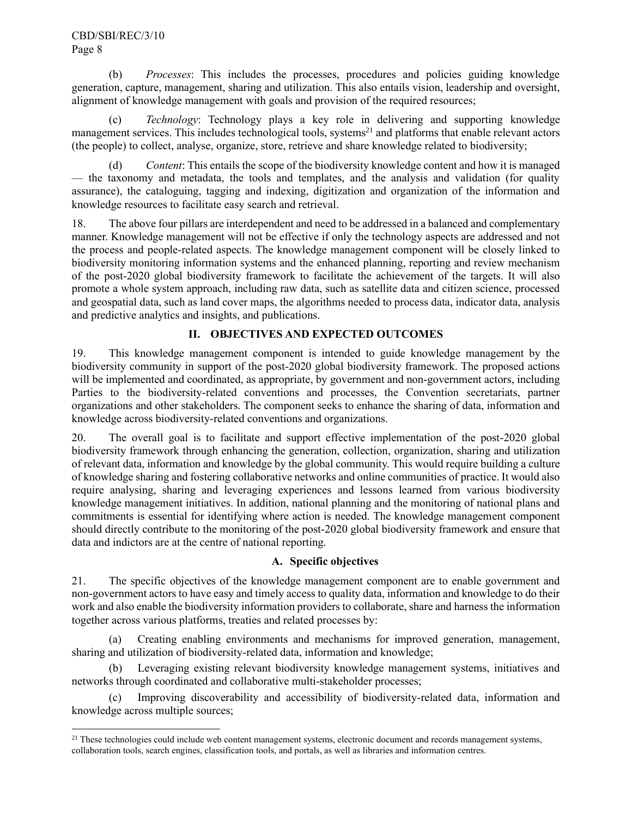(b) *Processes*: This includes the processes, procedures and policies guiding knowledge generation, capture, management, sharing and utilization. This also entails vision, leadership and oversight, alignment of knowledge management with goals and provision of the required resources;

(c) *Technology*: Technology plays a key role in delivering and supporting knowledge management services. This includes technological tools, systems<sup>21</sup> and platforms that enable relevant actors (the people) to collect, analyse, organize, store, retrieve and share knowledge related to biodiversity;

(d) *Content*: This entails the scope of the biodiversity knowledge content and how it is managed — the taxonomy and metadata, the tools and templates, and the analysis and validation (for quality assurance), the cataloguing, tagging and indexing, digitization and organization of the information and knowledge resources to facilitate easy search and retrieval.

18. The above four pillars are interdependent and need to be addressed in a balanced and complementary manner. Knowledge management will not be effective if only the technology aspects are addressed and not the process and people-related aspects. The knowledge management component will be closely linked to biodiversity monitoring information systems and the enhanced planning, reporting and review mechanism of the post-2020 global biodiversity framework to facilitate the achievement of the targets. It will also promote a whole system approach, including raw data, such as satellite data and citizen science, processed and geospatial data, such as land cover maps, the algorithms needed to process data, indicator data, analysis and predictive analytics and insights, and publications.

## **II. OBJECTIVES AND EXPECTED OUTCOMES**

19. This knowledge management component is intended to guide knowledge management by the biodiversity community in support of the post-2020 global biodiversity framework. The proposed actions will be implemented and coordinated, as appropriate, by government and non-government actors, including Parties to the biodiversity-related conventions and processes, the Convention secretariats, partner organizations and other stakeholders. The component seeks to enhance the sharing of data, information and knowledge across biodiversity-related conventions and organizations.

20. The overall goal is to facilitate and support effective implementation of the post-2020 global biodiversity framework through enhancing the generation, collection, organization, sharing and utilization of relevant data, information and knowledge by the global community. This would require building a culture of knowledge sharing and fostering collaborative networks and online communities of practice. It would also require analysing, sharing and leveraging experiences and lessons learned from various biodiversity knowledge management initiatives. In addition, national planning and the monitoring of national plans and commitments is essential for identifying where action is needed. The knowledge management component should directly contribute to the monitoring of the post-2020 global biodiversity framework and ensure that data and indictors are at the centre of national reporting.

## **A. Specific objectives**

21. The specific objectives of the knowledge management component are to enable government and non-government actors to have easy and timely access to quality data, information and knowledge to do their work and also enable the biodiversity information providers to collaborate, share and harness the information together across various platforms, treaties and related processes by:

(a) Creating enabling environments and mechanisms for improved generation, management, sharing and utilization of biodiversity-related data, information and knowledge;

(b) Leveraging existing relevant biodiversity knowledge management systems, initiatives and networks through coordinated and collaborative multi-stakeholder processes;

(c) Improving discoverability and accessibility of biodiversity-related data, information and knowledge across multiple sources;

 $21$  These technologies could include web content management systems, electronic document and records management systems, collaboration tools, search engines, classification tools, and portals, as well as libraries and information centres.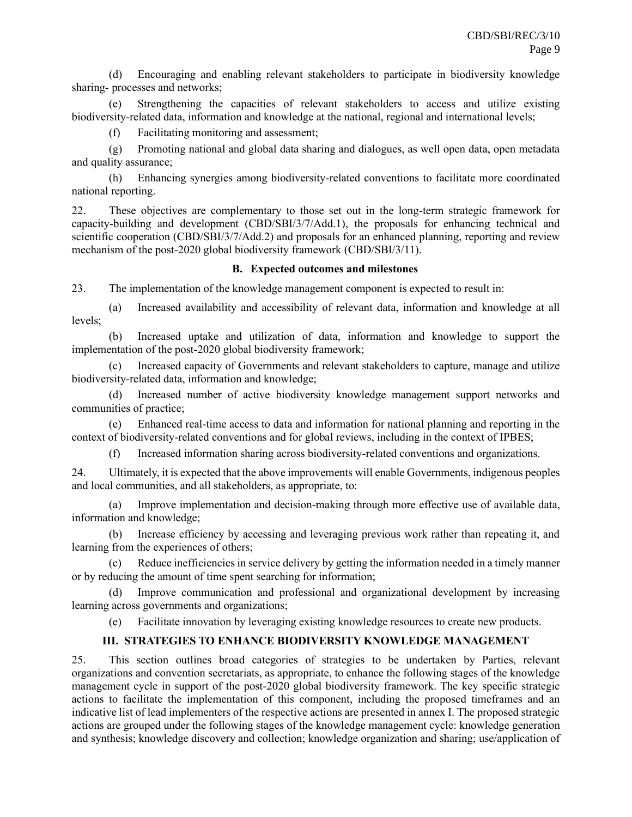(d) Encouraging and enabling relevant stakeholders to participate in biodiversity knowledge sharing- processes and networks;

(e) Strengthening the capacities of relevant stakeholders to access and utilize existing biodiversity-related data, information and knowledge at the national, regional and international levels;

(f) Facilitating monitoring and assessment;

(g) Promoting national and global data sharing and dialogues, as well open data, open metadata and quality assurance;

(h) Enhancing synergies among biodiversity-related conventions to facilitate more coordinated national reporting.

22. These objectives are complementary to those set out in the long-term strategic framework for capacity-building and development (CBD/SBI/3/7/Add.1), the proposals for enhancing technical and scientific cooperation (CBD/SBI/3/7/Add.2) and proposals for an enhanced planning, reporting and review mechanism of the post-2020 global biodiversity framework (CBD/SBI/3/11).

#### **B. Expected outcomes and milestones**

23. The implementation of the knowledge management component is expected to result in:

(a) Increased availability and accessibility of relevant data, information and knowledge at all levels;

(b) Increased uptake and utilization of data, information and knowledge to support the implementation of the post-2020 global biodiversity framework;

(c) Increased capacity of Governments and relevant stakeholders to capture, manage and utilize biodiversity-related data, information and knowledge;

(d) Increased number of active biodiversity knowledge management support networks and communities of practice;

(e) Enhanced real-time access to data and information for national planning and reporting in the context of biodiversity-related conventions and for global reviews, including in the context of IPBES;

(f) Increased information sharing across biodiversity-related conventions and organizations.

24. Ultimately, it is expected that the above improvements will enable Governments, indigenous peoples and local communities, and all stakeholders, as appropriate, to:

(a) Improve implementation and decision-making through more effective use of available data, information and knowledge;

(b) Increase efficiency by accessing and leveraging previous work rather than repeating it, and learning from the experiences of others;

Reduce inefficiencies in service delivery by getting the information needed in a timely manner or by reducing the amount of time spent searching for information;

(d) Improve communication and professional and organizational development by increasing learning across governments and organizations;

(e) Facilitate innovation by leveraging existing knowledge resources to create new products.

## **III. STRATEGIES TO ENHANCE BIODIVERSITY KNOWLEDGE MANAGEMENT**

25. This section outlines broad categories of strategies to be undertaken by Parties, relevant organizations and convention secretariats, as appropriate, to enhance the following stages of the knowledge management cycle in support of the post-2020 global biodiversity framework. The key specific strategic actions to facilitate the implementation of this component, including the proposed timeframes and an indicative list of lead implementers of the respective actions are presented in annex I. The proposed strategic actions are grouped under the following stages of the knowledge management cycle: knowledge generation and synthesis; knowledge discovery and collection; knowledge organization and sharing; use/application of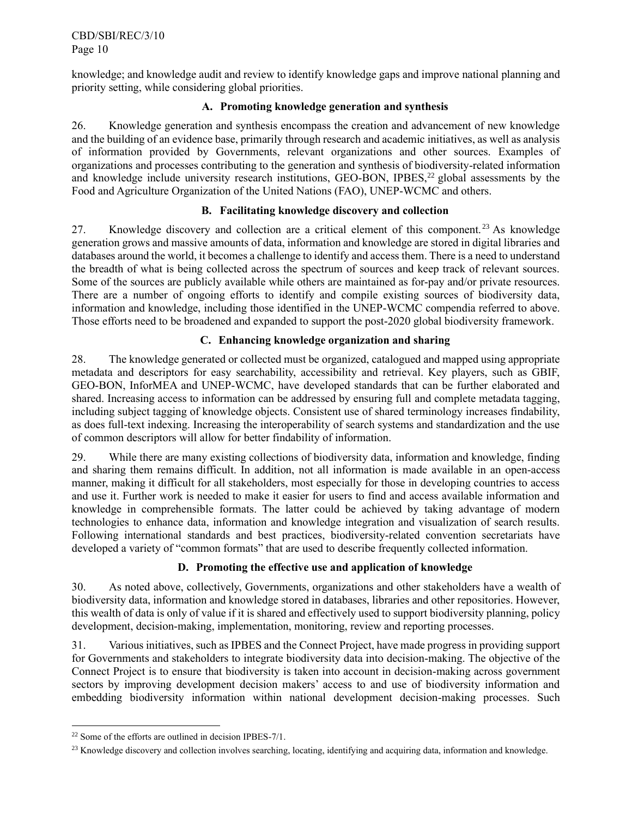knowledge; and knowledge audit and review to identify knowledge gaps and improve national planning and priority setting, while considering global priorities.

#### **A. Promoting knowledge generation and synthesis**

26. Knowledge generation and synthesis encompass the creation and advancement of new knowledge and the building of an evidence base, primarily through research and academic initiatives, as well as analysis of information provided by Governments, relevant organizations and other sources. Examples of organizations and processes contributing to the generation and synthesis of biodiversity-related information and knowledge include university research institutions, GEO-BON, IPBES,<sup>22</sup> global assessments by the Food and Agriculture Organization of the United Nations (FAO), UNEP-WCMC and others.

## **B. Facilitating knowledge discovery and collection**

27. Knowledge discovery and collection are a critical element of this component.<sup>23</sup> As knowledge generation grows and massive amounts of data, information and knowledge are stored in digital libraries and databases around the world, it becomes a challenge to identify and access them. There is a need to understand the breadth of what is being collected across the spectrum of sources and keep track of relevant sources. Some of the sources are publicly available while others are maintained as for-pay and/or private resources. There are a number of ongoing efforts to identify and compile existing sources of biodiversity data, information and knowledge, including those identified in the UNEP-WCMC compendia referred to above. Those efforts need to be broadened and expanded to support the post-2020 global biodiversity framework.

## **C. Enhancing knowledge organization and sharing**

28. The knowledge generated or collected must be organized, catalogued and mapped using appropriate metadata and descriptors for easy searchability, accessibility and retrieval. Key players, such as GBIF, GEO-BON, InforMEA and UNEP-WCMC, have developed standards that can be further elaborated and shared. Increasing access to information can be addressed by ensuring full and complete metadata tagging, including subject tagging of knowledge objects. Consistent use of shared terminology increases findability, as does full-text indexing. Increasing the interoperability of search systems and standardization and the use of common descriptors will allow for better findability of information.

29. While there are many existing collections of biodiversity data, information and knowledge, finding and sharing them remains difficult. In addition, not all information is made available in an open-access manner, making it difficult for all stakeholders, most especially for those in developing countries to access and use it. Further work is needed to make it easier for users to find and access available information and knowledge in comprehensible formats. The latter could be achieved by taking advantage of modern technologies to enhance data, information and knowledge integration and visualization of search results. Following international standards and best practices, biodiversity-related convention secretariats have developed a variety of "common formats" that are used to describe frequently collected information.

## **D. Promoting the effective use and application of knowledge**

30. As noted above, collectively, Governments, organizations and other stakeholders have a wealth of biodiversity data, information and knowledge stored in databases, libraries and other repositories. However, this wealth of data is only of value if it is shared and effectively used to support biodiversity planning, policy development, decision-making, implementation, monitoring, review and reporting processes.

31. Various initiatives, such as IPBES and the Connect Project, have made progress in providing support for Governments and stakeholders to integrate biodiversity data into decision-making. The objective of the Connect Project is to ensure that biodiversity is taken into account in decision-making across government sectors by improving development decision makers' access to and use of biodiversity information and embedding biodiversity information within national development decision-making processes. Such

<sup>22</sup> Some of the efforts are outlined in decision IPBES-7/1.

<sup>&</sup>lt;sup>23</sup> Knowledge discovery and collection involves searching, locating, identifying and acquiring data, information and knowledge.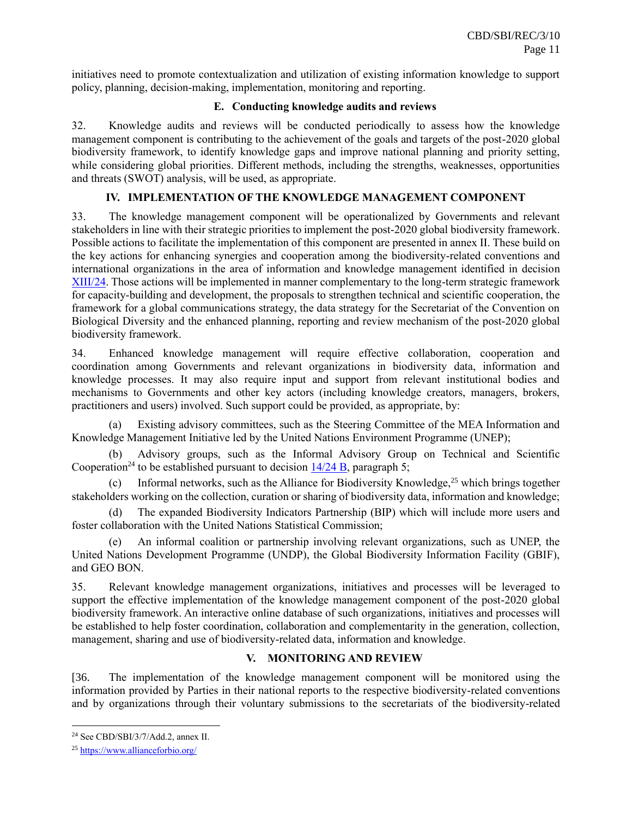initiatives need to promote contextualization and utilization of existing information knowledge to support policy, planning, decision-making, implementation, monitoring and reporting.

#### **E. Conducting knowledge audits and reviews**

32. Knowledge audits and reviews will be conducted periodically to assess how the knowledge management component is contributing to the achievement of the goals and targets of the post-2020 global biodiversity framework, to identify knowledge gaps and improve national planning and priority setting, while considering global priorities. Different methods, including the strengths, weaknesses, opportunities and threats (SWOT) analysis, will be used, as appropriate.

#### **IV. IMPLEMENTATION OF THE KNOWLEDGE MANAGEMENT COMPONENT**

33. The knowledge management component will be operationalized by Governments and relevant stakeholders in line with their strategic priorities to implement the post-2020 global biodiversity framework. Possible actions to facilitate the implementation of this component are presented in annex II. These build on the key actions for enhancing synergies and cooperation among the biodiversity-related conventions and international organizations in the area of information and knowledge management identified in decision [XIII/24.](https://www.cbd.int/doc/decisions/cop-13/cop-13-dec-24-en.pdf) Those actions will be implemented in manner complementary to the long-term strategic framework for capacity-building and development, the proposals to strengthen technical and scientific cooperation, the framework for a global communications strategy, the data strategy for the Secretariat of the Convention on Biological Diversity and the enhanced planning, reporting and review mechanism of the post-2020 global biodiversity framework.

34. Enhanced knowledge management will require effective collaboration, cooperation and coordination among Governments and relevant organizations in biodiversity data, information and knowledge processes. It may also require input and support from relevant institutional bodies and mechanisms to Governments and other key actors (including knowledge creators, managers, brokers, practitioners and users) involved. Such support could be provided, as appropriate, by:

(a) Existing advisory committees, such as the Steering Committee of the MEA Information and Knowledge Management Initiative led by the United Nations Environment Programme (UNEP);

Advisory groups, such as the Informal Advisory Group on Technical and Scientific Cooperation<sup>24</sup> to be established pursuant to decision  $14/24$  B, paragraph 5;

(c) Informal networks, such as the Alliance for Biodiversity Knowledge,  $25$  which brings together stakeholders working on the collection, curation or sharing of biodiversity data, information and knowledge;

(d) The expanded Biodiversity Indicators Partnership (BIP) which will include more users and foster collaboration with the United Nations Statistical Commission;

An informal coalition or partnership involving relevant organizations, such as UNEP, the United Nations Development Programme (UNDP), the Global Biodiversity Information Facility (GBIF), and GEO BON.

35. Relevant knowledge management organizations, initiatives and processes will be leveraged to support the effective implementation of the knowledge management component of the post-2020 global biodiversity framework. An interactive online database of such organizations, initiatives and processes will be established to help foster coordination, collaboration and complementarity in the generation, collection, management, sharing and use of biodiversity-related data, information and knowledge.

## **V. MONITORING AND REVIEW**

[36. The implementation of the knowledge management component will be monitored using the information provided by Parties in their national reports to the respective biodiversity-related conventions and by organizations through their voluntary submissions to the secretariats of the biodiversity-related

<sup>24</sup> See CBD/SBI/3/7/Add.2, annex II.

<sup>25</sup> <https://www.allianceforbio.org/>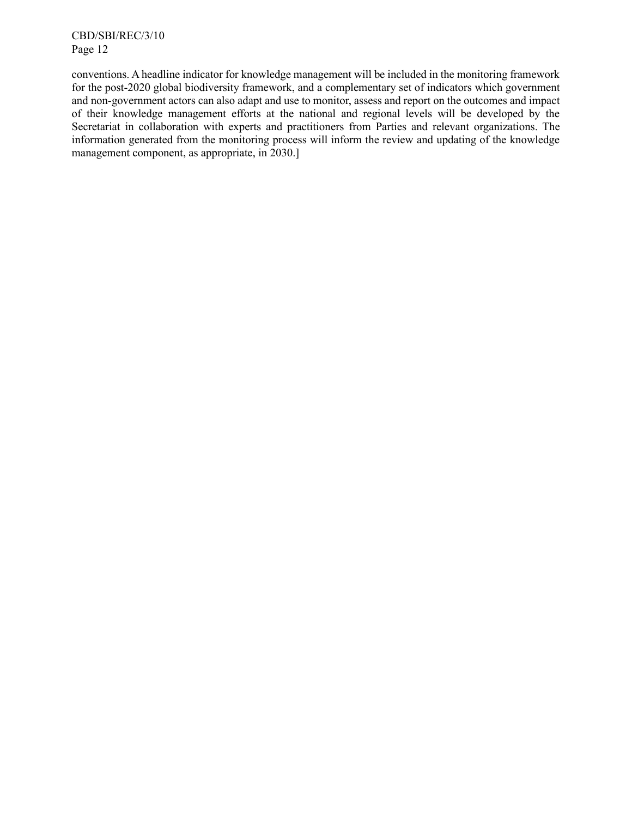CBD/SBI/REC/3/10 Page 12

conventions. A headline indicator for knowledge management will be included in the monitoring framework for the post-2020 global biodiversity framework, and a complementary set of indicators which government and non-government actors can also adapt and use to monitor, assess and report on the outcomes and impact of their knowledge management efforts at the national and regional levels will be developed by the Secretariat in collaboration with experts and practitioners from Parties and relevant organizations. The information generated from the monitoring process will inform the review and updating of the knowledge management component, as appropriate, in 2030.]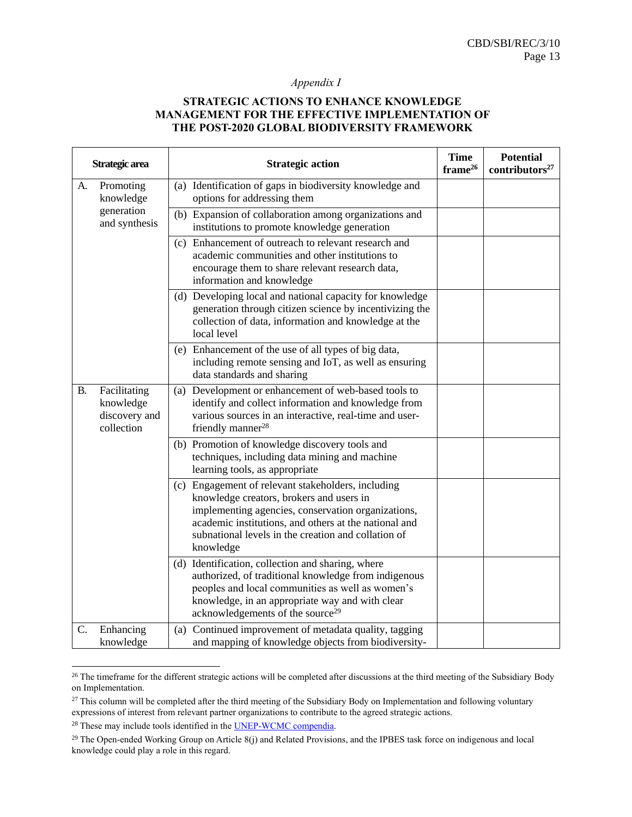#### *Appendix I*

#### **STRATEGIC ACTIONS TO ENHANCE KNOWLEDGE MANAGEMENT FOR THE EFFECTIVE IMPLEMENTATION OF THE POST-2020 GLOBAL BIODIVERSITY FRAMEWORK**

| Strategic area |                                                          | <b>Strategic action</b>                                                                                                                                                                                                                                                           | <b>Time</b><br>frame <sup>26</sup> | <b>Potential</b><br>contributors <sup>27</sup> |
|----------------|----------------------------------------------------------|-----------------------------------------------------------------------------------------------------------------------------------------------------------------------------------------------------------------------------------------------------------------------------------|------------------------------------|------------------------------------------------|
| A.             | Promoting<br>knowledge                                   | (a) Identification of gaps in biodiversity knowledge and<br>options for addressing them                                                                                                                                                                                           |                                    |                                                |
|                | generation<br>and synthesis                              | (b) Expansion of collaboration among organizations and<br>institutions to promote knowledge generation                                                                                                                                                                            |                                    |                                                |
|                |                                                          | (c) Enhancement of outreach to relevant research and<br>academic communities and other institutions to<br>encourage them to share relevant research data,<br>information and knowledge                                                                                            |                                    |                                                |
|                |                                                          | (d) Developing local and national capacity for knowledge<br>generation through citizen science by incentivizing the<br>collection of data, information and knowledge at the<br>local level                                                                                        |                                    |                                                |
|                |                                                          | (e) Enhancement of the use of all types of big data,<br>including remote sensing and IoT, as well as ensuring<br>data standards and sharing                                                                                                                                       |                                    |                                                |
| В.             | Facilitating<br>knowledge<br>discovery and<br>collection | (a) Development or enhancement of web-based tools to<br>identify and collect information and knowledge from<br>various sources in an interactive, real-time and user-<br>friendly manner <sup>28</sup>                                                                            |                                    |                                                |
|                |                                                          | (b) Promotion of knowledge discovery tools and<br>techniques, including data mining and machine<br>learning tools, as appropriate                                                                                                                                                 |                                    |                                                |
|                |                                                          | (c) Engagement of relevant stakeholders, including<br>knowledge creators, brokers and users in<br>implementing agencies, conservation organizations,<br>academic institutions, and others at the national and<br>subnational levels in the creation and collation of<br>knowledge |                                    |                                                |
|                |                                                          | (d) Identification, collection and sharing, where<br>authorized, of traditional knowledge from indigenous<br>peoples and local communities as well as women's<br>knowledge, in an appropriate way and with clear<br>acknowledgements of the source <sup>29</sup>                  |                                    |                                                |
| C.             | Enhancing<br>knowledge                                   | (a) Continued improvement of metadata quality, tagging<br>and mapping of knowledge objects from biodiversity-                                                                                                                                                                     |                                    |                                                |

<sup>&</sup>lt;sup>26</sup> The timeframe for the different strategic actions will be completed after discussions at the third meeting of the Subsidiary Body on Implementation.

<sup>&</sup>lt;sup>27</sup> This column will be completed after the third meeting of the Subsidiary Body on Implementation and following voluntary expressions of interest from relevant partner organizations to contribute to the agreed strategic actions.

<sup>&</sup>lt;sup>28</sup> These may include tools identified in the **UNEP-WCMC** compendia.

 $29$  The Open-ended Working Group on Article 8(j) and Related Provisions, and the IPBES task force on indigenous and local knowledge could play a role in this regard.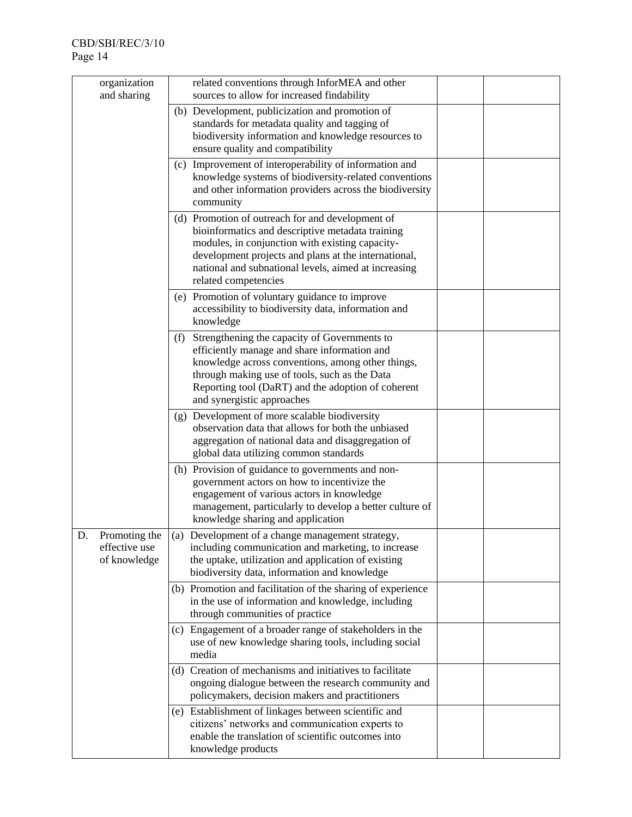| organization<br>and sharing                          | related conventions through InforMEA and other<br>sources to allow for increased findability                                                                                                                                                                                                    |  |
|------------------------------------------------------|-------------------------------------------------------------------------------------------------------------------------------------------------------------------------------------------------------------------------------------------------------------------------------------------------|--|
|                                                      | (b) Development, publicization and promotion of<br>standards for metadata quality and tagging of<br>biodiversity information and knowledge resources to<br>ensure quality and compatibility                                                                                                     |  |
|                                                      | (c) Improvement of interoperability of information and<br>knowledge systems of biodiversity-related conventions<br>and other information providers across the biodiversity<br>community                                                                                                         |  |
|                                                      | (d) Promotion of outreach for and development of<br>bioinformatics and descriptive metadata training<br>modules, in conjunction with existing capacity-<br>development projects and plans at the international,<br>national and subnational levels, aimed at increasing<br>related competencies |  |
|                                                      | (e) Promotion of voluntary guidance to improve<br>accessibility to biodiversity data, information and<br>knowledge                                                                                                                                                                              |  |
|                                                      | Strengthening the capacity of Governments to<br>(f)<br>efficiently manage and share information and<br>knowledge across conventions, among other things,<br>through making use of tools, such as the Data<br>Reporting tool (DaRT) and the adoption of coherent<br>and synergistic approaches   |  |
|                                                      | (g) Development of more scalable biodiversity<br>observation data that allows for both the unbiased<br>aggregation of national data and disaggregation of<br>global data utilizing common standards                                                                                             |  |
|                                                      | (h) Provision of guidance to governments and non-<br>government actors on how to incentivize the<br>engagement of various actors in knowledge<br>management, particularly to develop a better culture of<br>knowledge sharing and application                                                   |  |
| Promoting the<br>D.<br>effective use<br>of knowledge | Development of a change management strategy,<br>(a)<br>including communication and marketing, to increase<br>the uptake, utilization and application of existing<br>biodiversity data, information and knowledge                                                                                |  |
|                                                      | (b) Promotion and facilitation of the sharing of experience<br>in the use of information and knowledge, including<br>through communities of practice                                                                                                                                            |  |
|                                                      | (c) Engagement of a broader range of stakeholders in the<br>use of new knowledge sharing tools, including social<br>media                                                                                                                                                                       |  |
|                                                      | (d) Creation of mechanisms and initiatives to facilitate<br>ongoing dialogue between the research community and<br>policymakers, decision makers and practitioners                                                                                                                              |  |
|                                                      | (e) Establishment of linkages between scientific and<br>citizens' networks and communication experts to<br>enable the translation of scientific outcomes into<br>knowledge products                                                                                                             |  |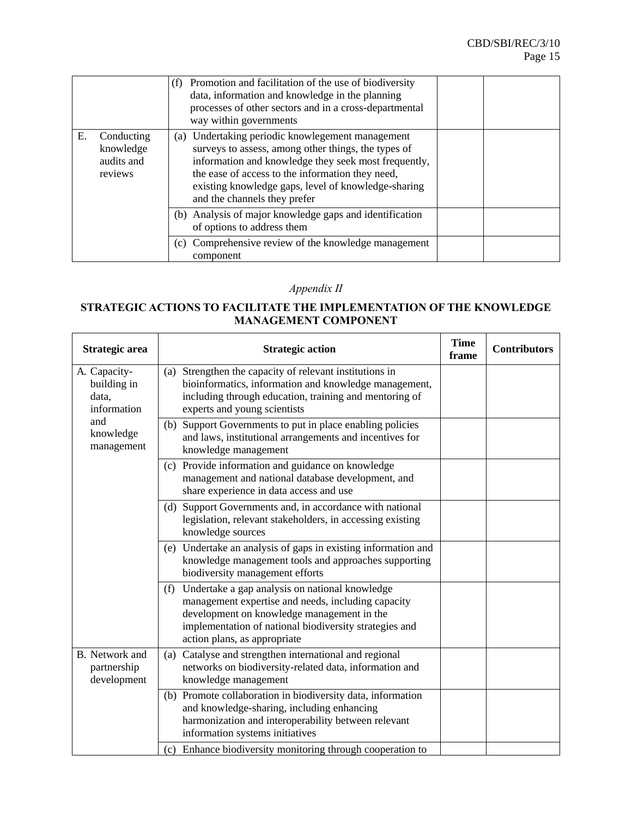÷,

|    |                                                  | Promotion and facilitation of the use of biodiversity<br>(f)<br>data, information and knowledge in the planning<br>processes of other sectors and in a cross-departmental<br>way within governments                                                                                                        |  |
|----|--------------------------------------------------|------------------------------------------------------------------------------------------------------------------------------------------------------------------------------------------------------------------------------------------------------------------------------------------------------------|--|
| Е. | Conducting<br>knowledge<br>audits and<br>reviews | (a) Undertaking periodic knowlegement management<br>surveys to assess, among other things, the types of<br>information and knowledge they seek most frequently,<br>the ease of access to the information they need,<br>existing knowledge gaps, level of knowledge-sharing<br>and the channels they prefer |  |
|    |                                                  | (b) Analysis of major knowledge gaps and identification<br>of options to address them                                                                                                                                                                                                                      |  |
|    |                                                  | (c) Comprehensive review of the knowledge management<br>component                                                                                                                                                                                                                                          |  |

# *Appendix II*

## **STRATEGIC ACTIONS TO FACILITATE THE IMPLEMENTATION OF THE KNOWLEDGE MANAGEMENT COMPONENT**

r.

 $\overline{\phantom{a}}$ 

| Strategic area                                      | <b>Strategic action</b>                                                                                                                                                                                                                             | <b>Time</b><br>frame | <b>Contributors</b> |
|-----------------------------------------------------|-----------------------------------------------------------------------------------------------------------------------------------------------------------------------------------------------------------------------------------------------------|----------------------|---------------------|
| A. Capacity-<br>building in<br>data,<br>information | (a) Strengthen the capacity of relevant institutions in<br>bioinformatics, information and knowledge management,<br>including through education, training and mentoring of<br>experts and young scientists                                          |                      |                     |
| and<br>knowledge<br>management                      | (b) Support Governments to put in place enabling policies<br>and laws, institutional arrangements and incentives for<br>knowledge management                                                                                                        |                      |                     |
|                                                     | Provide information and guidance on knowledge<br>(c)<br>management and national database development, and<br>share experience in data access and use                                                                                                |                      |                     |
|                                                     | (d) Support Governments and, in accordance with national<br>legislation, relevant stakeholders, in accessing existing<br>knowledge sources                                                                                                          |                      |                     |
|                                                     | (e) Undertake an analysis of gaps in existing information and<br>knowledge management tools and approaches supporting<br>biodiversity management efforts                                                                                            |                      |                     |
|                                                     | Undertake a gap analysis on national knowledge<br>(f)<br>management expertise and needs, including capacity<br>development on knowledge management in the<br>implementation of national biodiversity strategies and<br>action plans, as appropriate |                      |                     |
| <b>B.</b> Network and<br>partnership<br>development | (a) Catalyse and strengthen international and regional<br>networks on biodiversity-related data, information and<br>knowledge management                                                                                                            |                      |                     |
|                                                     | (b) Promote collaboration in biodiversity data, information<br>and knowledge-sharing, including enhancing<br>harmonization and interoperability between relevant<br>information systems initiatives                                                 |                      |                     |
|                                                     | (c) Enhance biodiversity monitoring through cooperation to                                                                                                                                                                                          |                      |                     |